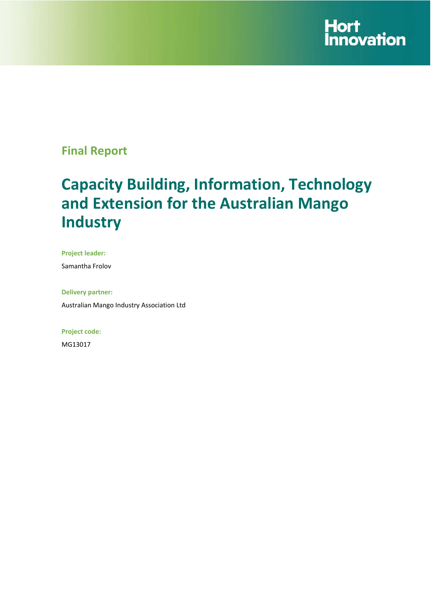

## **Final Report**

# **Capacity Building, Information, Technology and Extension for the Australian Mango Industry**

**Project leader:** 

Samantha Frolov

**Delivery partner:**  Australian Mango Industry Association Ltd

**Project code:** 

MG13017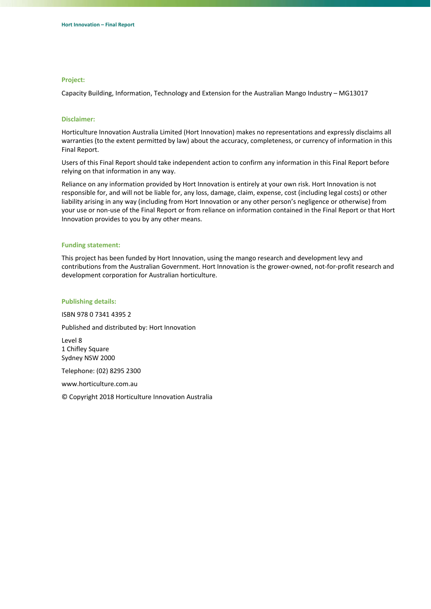#### **Project:**

Capacity Building, Information, Technology and Extension for the Australian Mango Industry – MG13017

#### **Disclaimer:**

Horticulture Innovation Australia Limited (Hort Innovation) makes no representations and expressly disclaims all warranties (to the extent permitted by law) about the accuracy, completeness, or currency of information in this Final Report.

Users of this Final Report should take independent action to confirm any information in this Final Report before relying on that information in any way.

Reliance on any information provided by Hort Innovation is entirely at your own risk. Hort Innovation is not responsible for, and will not be liable for, any loss, damage, claim, expense, cost (including legal costs) or other liability arising in any way (including from Hort Innovation or any other person's negligence or otherwise) from your use or non‐use of the Final Report or from reliance on information contained in the Final Report or that Hort Innovation provides to you by any other means.

#### **Funding statement:**

This project has been funded by Hort Innovation, using the mango research and development levy and contributions from the Australian Government. Hort Innovation is the grower-owned, not-for-profit research and development corporation for Australian horticulture.

#### **Publishing details:**

ISBN 978 0 7341 4395 2

Published and distributed by: Hort Innovation

Level 8 1 Chifley Square Sydney NSW 2000

Telephone: (02) 8295 2300

www.horticulture.com.au

© Copyright 2018 Horticulture Innovation Australia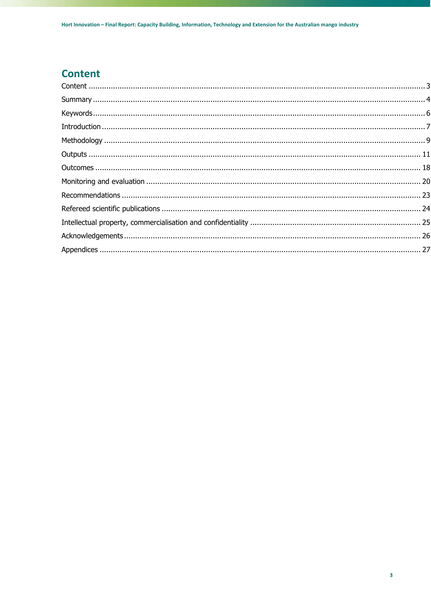## **Content**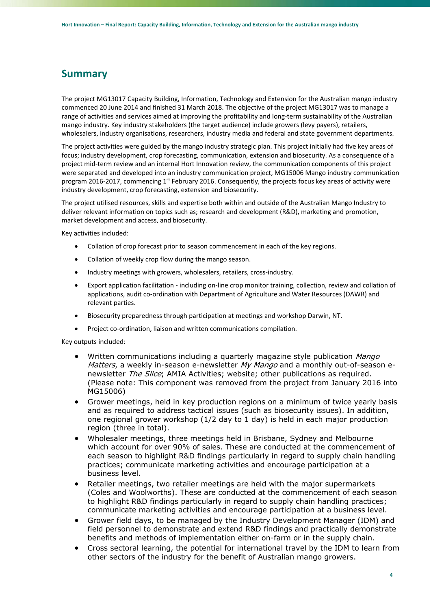## **Summary**

The project MG13017 Capacity Building, Information, Technology and Extension for the Australian mango industry commenced 20 June 2014 and finished 31 March 2018. The objective of the project MG13017 was to manage a range of activities and services aimed at improving the profitability and long-term sustainability of the Australian mango industry. Key industry stakeholders (the target audience) include growers (levy payers), retailers, wholesalers, industry organisations, researchers, industry media and federal and state government departments.

The project activities were guided by the mango industry strategic plan. This project initially had five key areas of focus; industry development, crop forecasting, communication, extension and biosecurity. As a consequence of a project mid‐term review and an internal Hort Innovation review, the communication components of this project were separated and developed into an industry communication project, MG15006 Mango industry communication program 2016-2017, commencing 1<sup>st</sup> February 2016. Consequently, the projects focus key areas of activity were industry development, crop forecasting, extension and biosecurity.

The project utilised resources, skills and expertise both within and outside of the Australian Mango Industry to deliver relevant information on topics such as; research and development (R&D), marketing and promotion, market development and access, and biosecurity.

Key activities included:

- Collation of crop forecast prior to season commencement in each of the key regions.
- Collation of weekly crop flow during the mango season.
- Industry meetings with growers, wholesalers, retailers, cross-industry.
- Export application facilitation ‐ including on‐line crop monitor training, collection, review and collation of applications, audit co-ordination with Department of Agriculture and Water Resources (DAWR) and relevant parties.
- Biosecurity preparedness through participation at meetings and workshop Darwin, NT.
- Project co‐ordination, liaison and written communications compilation.

Key outputs included:

- Written communications including a quarterly magazine style publication Mango Matters, a weekly in-season e-newsletter My Mango and a monthly out-of-season enewsletter The Slice; AMIA Activities; website; other publications as required. (Please note: This component was removed from the project from January 2016 into MG15006)
- Grower meetings, held in key production regions on a minimum of twice yearly basis and as required to address tactical issues (such as biosecurity issues). In addition, one regional grower workshop (1/2 day to 1 day) is held in each major production region (three in total).
- Wholesaler meetings, three meetings held in Brisbane, Sydney and Melbourne which account for over 90% of sales. These are conducted at the commencement of each season to highlight R&D findings particularly in regard to supply chain handling practices; communicate marketing activities and encourage participation at a business level.
- Retailer meetings, two retailer meetings are held with the major supermarkets (Coles and Woolworths). These are conducted at the commencement of each season to highlight R&D findings particularly in regard to supply chain handling practices; communicate marketing activities and encourage participation at a business level.
- Grower field days, to be managed by the Industry Development Manager (IDM) and field personnel to demonstrate and extend R&D findings and practically demonstrate benefits and methods of implementation either on-farm or in the supply chain.
- Cross sectoral learning, the potential for international travel by the IDM to learn from other sectors of the industry for the benefit of Australian mango growers.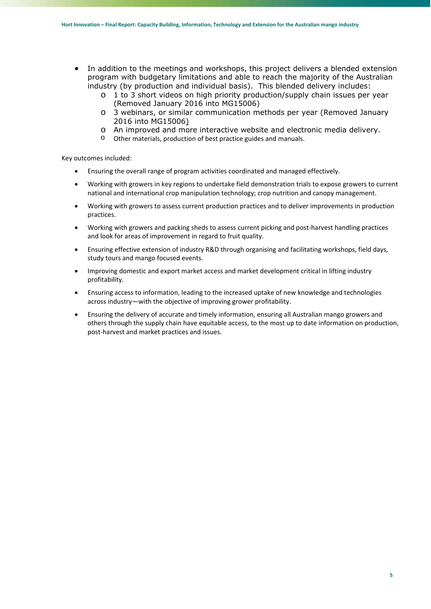- In addition to the meetings and workshops, this project delivers a blended extension program with budgetary limitations and able to reach the majority of the Australian industry (by production and individual basis). This blended delivery includes:
	- o 1 to 3 short videos on high priority production/supply chain issues per year (Removed January 2016 into MG15006)
	- o 3 webinars, or similar communication methods per year (Removed January 2016 into MG15006)
	- o An improved and more interactive website and electronic media delivery.
	- o Other materials, production of best practice guides and manuals.

Key outcomes included:

- Ensuring the overall range of program activities coordinated and managed effectively.
- Working with growers in key regions to undertake field demonstration trials to expose growers to current national and international crop manipulation technology; crop nutrition and canopy management.
- Working with growers to assess current production practices and to deliver improvements in production practices.
- Working with growers and packing sheds to assess current picking and post-harvest handling practices and look for areas of improvement in regard to fruit quality.
- Ensuring effective extension of industry R&D through organising and facilitating workshops, field days, study tours and mango focused events.
- Improving domestic and export market access and market development critical in lifting industry profitability.
- Ensuring access to information, leading to the increased uptake of new knowledge and technologies across industry—with the objective of improving grower profitability.
- Ensuring the delivery of accurate and timely information, ensuring all Australian mango growers and others through the supply chain have equitable access, to the most up to date information on production, post‐harvest and market practices and issues.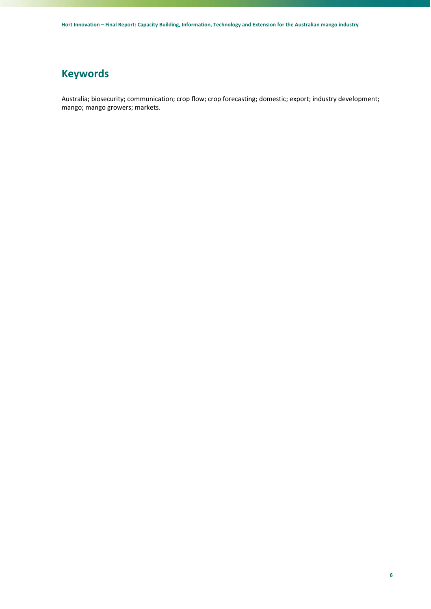## **Keywords**

Australia; biosecurity; communication; crop flow; crop forecasting; domestic; export; industry development; mango; mango growers; markets.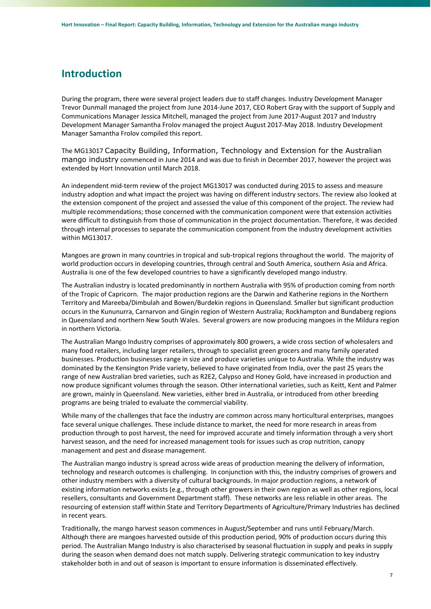## **Introduction**

During the program, there were several project leaders due to staff changes. Industry Development Manager Trevor Dunmall managed the project from June 2014‐June 2017, CEO Robert Gray with the support of Supply and Communications Manager Jessica Mitchell, managed the project from June 2017‐August 2017 and Industry Development Manager Samantha Frolov managed the project August 2017‐May 2018. Industry Development Manager Samantha Frolov compiled this report.

The MG13017 Capacity Building, Information, Technology and Extension for the Australian mango industry commenced in June 2014 and was due to finish in December 2017, however the project was extended by Hort Innovation until March 2018.

An independent mid‐term review of the project MG13017 was conducted during 2015 to assess and measure industry adoption and what impact the project was having on different industry sectors. The review also looked at the extension component of the project and assessed the value of this component of the project. The review had multiple recommendations; those concerned with the communication component were that extension activities were difficult to distinguish from those of communication in the project documentation. Therefore, it was decided through internal processes to separate the communication component from the industry development activities within MG13017.

Mangoes are grown in many countries in tropical and sub‐tropical regions throughout the world. The majority of world production occurs in developing countries, through central and South America, southern Asia and Africa. Australia is one of the few developed countries to have a significantly developed mango industry.

The Australian industry is located predominantly in northern Australia with 95% of production coming from north of the Tropic of Capricorn. The major production regions are the Darwin and Katherine regions in the Northern Territory and Mareeba/Dimbulah and Bowen/Burdekin regions in Queensland. Smaller but significant production occurs in the Kununurra, Carnarvon and Gingin region of Western Australia; Rockhampton and Bundaberg regions in Queensland and northern New South Wales. Several growers are now producing mangoes in the Mildura region in northern Victoria.

The Australian Mango Industry comprises of approximately 800 growers, a wide cross section of wholesalers and many food retailers, including larger retailers, through to specialist green grocers and many family operated businesses. Production businesses range in size and produce varieties unique to Australia. While the industry was dominated by the Kensington Pride variety, believed to have originated from India, over the past 25 years the range of new Australian bred varieties, such as R2E2, Calypso and Honey Gold, have increased in production and now produce significant volumes through the season. Other international varieties, such as Keitt, Kent and Palmer are grown, mainly in Queensland. New varieties, either bred in Australia, or introduced from other breeding programs are being trialed to evaluate the commercial viability.

While many of the challenges that face the industry are common across many horticultural enterprises, mangoes face several unique challenges. These include distance to market, the need for more research in areas from production through to post harvest, the need for improved accurate and timely information through a very short harvest season, and the need for increased management tools for issues such as crop nutrition, canopy management and pest and disease management.

The Australian mango industry is spread across wide areas of production meaning the delivery of information, technology and research outcomes is challenging. In conjunction with this, the industry comprises of growers and other industry members with a diversity of cultural backgrounds. In major production regions, a network of existing information networks exists (e.g., through other growers in their own region as well as other regions, local resellers, consultants and Government Department staff). These networks are less reliable in other areas. The resourcing of extension staff within State and Territory Departments of Agriculture/Primary Industries has declined in recent years.

Traditionally, the mango harvest season commences in August/September and runs until February/March. Although there are mangoes harvested outside of this production period, 90% of production occurs during this period. The Australian Mango Industry is also characterised by seasonal fluctuation in supply and peaks in supply during the season when demand does not match supply. Delivering strategic communication to key industry stakeholder both in and out of season is important to ensure information is disseminated effectively.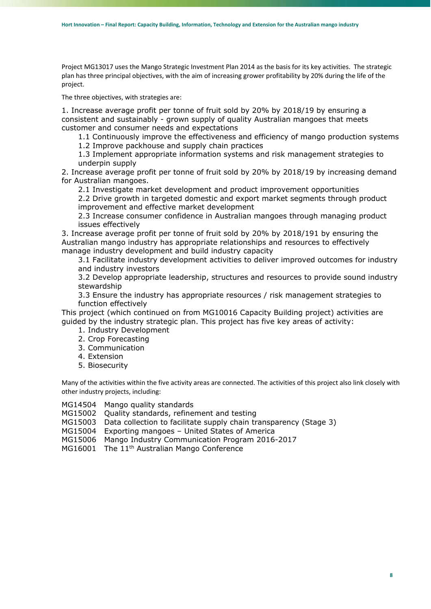Project MG13017 uses the Mango Strategic Investment Plan 2014 as the basis for its key activities. The strategic plan has three principal objectives, with the aim of increasing grower profitability by 20% during the life of the project.

The three objectives, with strategies are:

1. Increase average profit per tonne of fruit sold by 20% by 2018/19 by ensuring a consistent and sustainably - grown supply of quality Australian mangoes that meets customer and consumer needs and expectations

1.1 Continuously improve the effectiveness and efficiency of mango production systems

1.2 Improve packhouse and supply chain practices

1.3 Implement appropriate information systems and risk management strategies to underpin supply

2. Increase average profit per tonne of fruit sold by 20% by 2018/19 by increasing demand for Australian mangoes.

2.1 Investigate market development and product improvement opportunities

2.2 Drive growth in targeted domestic and export market segments through product improvement and effective market development

2.3 Increase consumer confidence in Australian mangoes through managing product issues effectively

3. Increase average profit per tonne of fruit sold by 20% by 2018/191 by ensuring the Australian mango industry has appropriate relationships and resources to effectively manage industry development and build industry capacity

3.1 Facilitate industry development activities to deliver improved outcomes for industry and industry investors

3.2 Develop appropriate leadership, structures and resources to provide sound industry stewardship

3.3 Ensure the industry has appropriate resources / risk management strategies to function effectively

This project (which continued on from MG10016 Capacity Building project) activities are guided by the industry strategic plan. This project has five key areas of activity:

- 1. Industry Development
- 2. Crop Forecasting
- 3. Communication
- 4. Extension
- 5. Biosecurity

Many of the activities within the five activity areas are connected. The activities of this project also link closely with other industry projects, including:

MG14504 Mango quality standards

- MG15002 Quality standards, refinement and testing
- MG15003 Data collection to facilitate supply chain transparency (Stage 3)

MG15004 Exporting mangoes – United States of America

MG15006 Mango Industry Communication Program 2016-2017

MG16001 The 11<sup>th</sup> Australian Mango Conference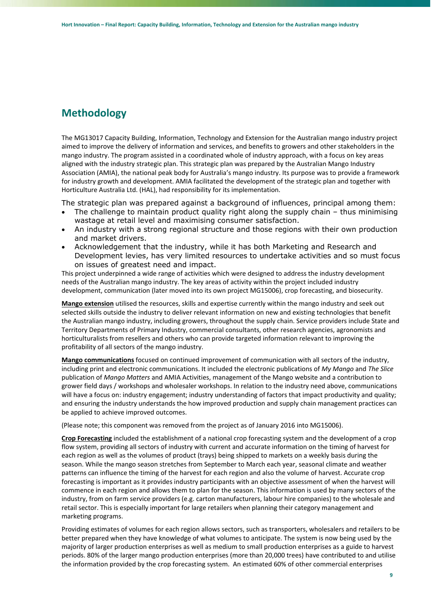## **Methodology**

The MG13017 Capacity Building, Information, Technology and Extension for the Australian mango industry project aimed to improve the delivery of information and services, and benefits to growers and other stakeholders in the mango industry. The program assisted in a coordinated whole of industry approach, with a focus on key areas aligned with the industry strategic plan. This strategic plan was prepared by the Australian Mango Industry Association (AMIA), the national peak body for Australia's mango industry. Its purpose was to provide a framework for industry growth and development. AMIA facilitated the development of the strategic plan and together with Horticulture Australia Ltd. (HAL), had responsibility for its implementation.

The strategic plan was prepared against a background of influences, principal among them:

- The challenge to maintain product quality right along the supply chain thus minimising wastage at retail level and maximising consumer satisfaction.
- An industry with a strong regional structure and those regions with their own production and market drivers.
- Acknowledgement that the industry, while it has both Marketing and Research and Development levies, has very limited resources to undertake activities and so must focus on issues of greatest need and impact.

This project underpinned a wide range of activities which were designed to address the industry development needs of the Australian mango industry. The key areas of activity within the project included industry development, communication (later moved into its own project MG15006), crop forecasting, and biosecurity.

**Mango extension** utilised the resources, skills and expertise currently within the mango industry and seek out selected skills outside the industry to deliver relevant information on new and existing technologies that benefit the Australian mango industry, including growers, throughout the supply chain. Service providers include State and Territory Departments of Primary Industry, commercial consultants, other research agencies, agronomists and horticulturalists from resellers and others who can provide targeted information relevant to improving the profitability of all sectors of the mango industry.

**Mango communications** focused on continued improvement of communication with all sectors of the industry, including print and electronic communications. It included the electronic publications of *My Mango* and *The Slice* publication of *Mango Matters* and AMIA Activities, management of the Mango website and a contribution to grower field days / workshops and wholesaler workshops. In relation to the industry need above, communications will have a focus on: industry engagement; industry understanding of factors that impact productivity and quality; and ensuring the industry understands the how improved production and supply chain management practices can be applied to achieve improved outcomes.

(Please note; this component was removed from the project as of January 2016 into MG15006).

**Crop Forecasting** included the establishment of a national crop forecasting system and the development of a crop flow system, providing all sectors of industry with current and accurate information on the timing of harvest for each region as well as the volumes of product (trays) being shipped to markets on a weekly basis during the season. While the mango season stretches from September to March each year, seasonal climate and weather patterns can influence the timing of the harvest for each region and also the volume of harvest. Accurate crop forecasting is important as it provides industry participants with an objective assessment of when the harvest will commence in each region and allows them to plan for the season. This information is used by many sectors of the industry, from on farm service providers (e.g. carton manufacturers, labour hire companies) to the wholesale and retail sector. This is especially important for large retailers when planning their category management and marketing programs.

Providing estimates of volumes for each region allows sectors, such as transporters, wholesalers and retailers to be better prepared when they have knowledge of what volumes to anticipate. The system is now being used by the majority of larger production enterprises as well as medium to small production enterprises as a guide to harvest periods. 80% of the larger mango production enterprises (more than 20,000 trees) have contributed to and utilise the information provided by the crop forecasting system. An estimated 60% of other commercial enterprises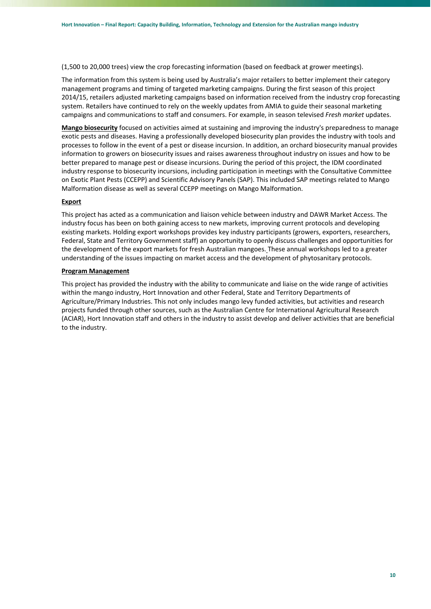(1,500 to 20,000 trees) view the crop forecasting information (based on feedback at grower meetings).

The information from this system is being used by Australia's major retailers to better implement their category management programs and timing of targeted marketing campaigns. During the first season of this project 2014/15, retailers adjusted marketing campaigns based on information received from the industry crop forecasting system. Retailers have continued to rely on the weekly updates from AMIA to guide their seasonal marketing campaigns and communications to staff and consumers. For example, in season televised *Fresh market* updates.

**Mango biosecurity** focused on activities aimed at sustaining and improving the industry's preparedness to manage exotic pests and diseases. Having a professionally developed biosecurity plan provides the industry with tools and processes to follow in the event of a pest or disease incursion. In addition, an orchard biosecurity manual provides information to growers on biosecurity issues and raises awareness throughout industry on issues and how to be better prepared to manage pest or disease incursions. During the period of this project, the IDM coordinated industry response to biosecurity incursions, including participation in meetings with the Consultative Committee on Exotic Plant Pests (CCEPP) and Scientific Advisory Panels (SAP). This included SAP meetings related to Mango Malformation disease as well as several CCEPP meetings on Mango Malformation.

## **Export**

This project has acted as a communication and liaison vehicle between industry and DAWR Market Access. The industry focus has been on both gaining access to new markets, improving current protocols and developing existing markets. Holding export workshops provides key industry participants (growers, exporters, researchers, Federal, State and Territory Government staff) an opportunity to openly discuss challenges and opportunities for the development of the export markets for fresh Australian mangoes. These annual workshops led to a greater understanding of the issues impacting on market access and the development of phytosanitary protocols.

## **Program Management**

This project has provided the industry with the ability to communicate and liaise on the wide range of activities within the mango industry, Hort Innovation and other Federal, State and Territory Departments of Agriculture/Primary Industries. This not only includes mango levy funded activities, but activities and research projects funded through other sources, such as the Australian Centre for International Agricultural Research (ACIAR), Hort Innovation staff and others in the industry to assist develop and deliver activities that are beneficial to the industry.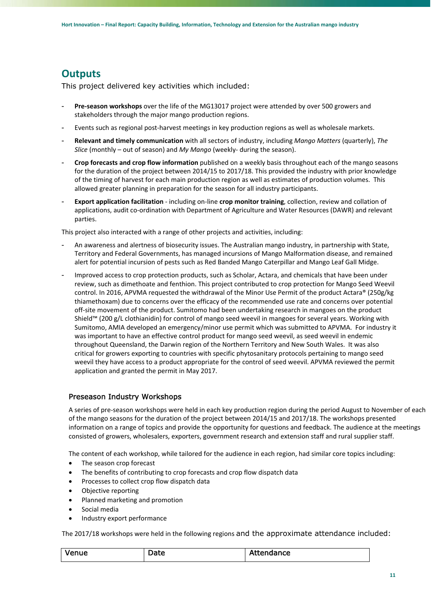## **Outputs**

This project delivered key activities which included:

- Pre-season workshops over the life of the MG13017 project were attended by over 500 growers and stakeholders through the major mango production regions.
- Events such as regional post-harvest meetings in key production regions as well as wholesale markets.
- **Relevant and timely communication** with all sectors of industry, including *Mango Matters* (quarterly), *The Slice* (monthly – out of season) and *My Mango* (weekly‐ during the season).
- **Crop forecasts and crop flow information** published on a weekly basis throughout each of the mango seasons for the duration of the project between 2014/15 to 2017/18. This provided the industry with prior knowledge of the timing of harvest for each main production region as well as estimates of production volumes. This allowed greater planning in preparation for the season for all industry participants.
- **Export application facilitation** ‐ including on‐line **crop monitor training**, collection, review and collation of applications, audit co‐ordination with Department of Agriculture and Water Resources (DAWR) and relevant parties.

This project also interacted with a range of other projects and activities, including:

- An awareness and alertness of biosecurity issues. The Australian mango industry, in partnership with State, Territory and Federal Governments, has managed incursions of Mango Malformation disease, and remained alert for potential incursion of pests such as Red Banded Mango Caterpillar and Mango Leaf Gall Midge.
- Improved access to crop protection products, such as Scholar, Actara, and chemicals that have been under review, such as dimethoate and fenthion. This project contributed to crop protection for Mango Seed Weevil control. In 2016, APVMA requested the withdrawal of the Minor Use Permit of the product Actara® (250g/kg thiamethoxam) due to concerns over the efficacy of the recommended use rate and concerns over potential off-site movement of the product. Sumitomo had been undertaking research in mangoes on the product Shield™ (200 g/L clothianidin) for control of mango seed weevil in mangoes for several years. Working with Sumitomo, AMIA developed an emergency/minor use permit which was submitted to APVMA. For industry it was important to have an effective control product for mango seed weevil, as seed weevil in endemic throughout Queensland, the Darwin region of the Northern Territory and New South Wales. It was also critical for growers exporting to countries with specific phytosanitary protocols pertaining to mango seed weevil they have access to a product appropriate for the control of seed weevil. APVMA reviewed the permit application and granted the permit in May 2017.

## Preseason Industry Workshops

A series of pre‐season workshops were held in each key production region during the period August to November of each of the mango seasons for the duration of the project between 2014/15 and 2017/18. The workshops presented information on a range of topics and provide the opportunity for questions and feedback. The audience at the meetings consisted of growers, wholesalers, exporters, government research and extension staff and rural supplier staff.

The content of each workshop, while tailored for the audience in each region, had similar core topics including:

- The season crop forecast
- The benefits of contributing to crop forecasts and crop flow dispatch data
- Processes to collect crop flow dispatch data
- Objective reporting
- Planned marketing and promotion
- Social media
- Industry export performance

The 2017/18 workshops were held in the following regions and the approximate attendance included:

| $\cdot$<br>venue<br>M | Jate.<br>ouc | $+$ nnn<br>ıdance<br>ALL |
|-----------------------|--------------|--------------------------|
|-----------------------|--------------|--------------------------|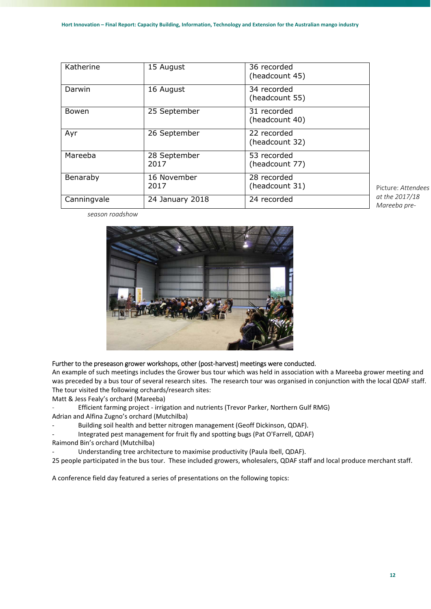| Katherine   | 15 August            | 36 recorded<br>(headcount 45) |
|-------------|----------------------|-------------------------------|
| Darwin      | 16 August            | 34 recorded<br>(headcount 55) |
| Bowen       | 25 September         | 31 recorded<br>(headcount 40) |
| Ayr         | 26 September         | 22 recorded<br>(headcount 32) |
| Mareeba     | 28 September<br>2017 | 53 recorded<br>(headcount 77) |
| Benaraby    | 16 November<br>2017  | 28 recorded<br>(headcount 31) |
| Canningvale | 24 January 2018      | 24 recorded                   |

Picture: *Attendees at the 2017/18 Mareeba pre‐*

*season roadshow* 



## Further to the preseason grower workshops, other (post-harvest) meetings were conducted.

An example of such meetings includes the Grower bus tour which was held in association with a Mareeba grower meeting and was preceded by a bus tour of several research sites. The research tour was organised in conjunction with the local QDAF staff. The tour visited the following orchards/research sites:

Matt & Jess Fealy's orchard (Mareeba)

‐ Efficient farming project ‐ irrigation and nutrients (Trevor Parker, Northern Gulf RMG)

- Adrian and Alfina Zugno's orchard (Mutchilba)
- Building soil health and better nitrogen management (Geoff Dickinson, QDAF).

Integrated pest management for fruit fly and spotting bugs (Pat O'Farrell, QDAF)

Raimond Bin's orchard (Mutchilba)

Understanding tree architecture to maximise productivity (Paula Ibell, QDAF).

25 people participated in the bus tour. These included growers, wholesalers, QDAF staff and local produce merchant staff.

A conference field day featured a series of presentations on the following topics: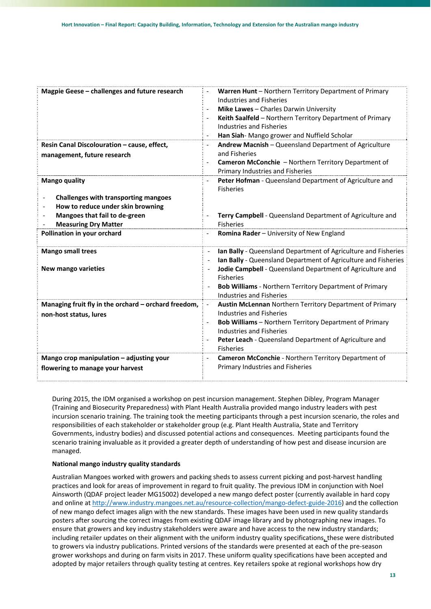| Magpie Geese - challenges and future research        | Warren Hunt - Northern Territory Department of Primary                                     |
|------------------------------------------------------|--------------------------------------------------------------------------------------------|
|                                                      | Industries and Fisheries                                                                   |
|                                                      | Mike Lawes - Charles Darwin University                                                     |
|                                                      | Keith Saalfeld - Northern Territory Department of Primary                                  |
|                                                      | Industries and Fisheries                                                                   |
|                                                      | Han Siah-Mango grower and Nuffield Scholar<br>$\overline{\phantom{a}}$                     |
| Resin Canal Discolouration - cause, effect,          | Andrew Macnish - Queensland Department of Agriculture                                      |
| management, future research                          | and Fisheries                                                                              |
|                                                      | Cameron McConchie - Northern Territory Department of                                       |
|                                                      | Primary Industries and Fisheries                                                           |
| <b>Mango quality</b>                                 | Peter Hofman - Queensland Department of Agriculture and<br>$\overline{\phantom{a}}$        |
|                                                      | <b>Fisheries</b>                                                                           |
| Challenges with transporting mangoes                 |                                                                                            |
| How to reduce under skin browning                    |                                                                                            |
| Mangoes that fail to de-green                        | Terry Campbell - Queensland Department of Agriculture and                                  |
| <b>Measuring Dry Matter</b>                          | <b>Fisheries</b>                                                                           |
| Pollination in your orchard                          | Romina Rader - University of New England<br>$\overline{\phantom{a}}$                       |
| <b>Mango small trees</b>                             | Ian Bally - Queensland Department of Agriculture and Fisheries<br>$\overline{\phantom{a}}$ |
|                                                      | Ian Bally - Queensland Department of Agriculture and Fisheries                             |
| <b>New mango varieties</b>                           | Jodie Campbell - Queensland Department of Agriculture and                                  |
|                                                      | <b>Fisheries</b>                                                                           |
|                                                      | <b>Bob Williams</b> - Northern Territory Department of Primary                             |
|                                                      | <b>Industries and Fisheries</b>                                                            |
| Managing fruit fly in the orchard - orchard freedom, | Austin McLennan Northern Territory Department of Primary                                   |
| non-host status, lures                               | Industries and Fisheries                                                                   |
|                                                      | <b>Bob Williams</b> - Northern Territory Department of Primary                             |
|                                                      | Industries and Fisheries                                                                   |
|                                                      | Peter Leach - Queensland Department of Agriculture and                                     |
|                                                      | <b>Fisheries</b>                                                                           |
| Mango crop manipulation - adjusting your             | Cameron McConchie - Northern Territory Department of                                       |
| flowering to manage your harvest                     | Primary Industries and Fisheries                                                           |
|                                                      |                                                                                            |

During 2015, the IDM organised a workshop on pest incursion management. Stephen Dibley, Program Manager (Training and Biosecurity Preparedness) with Plant Health Australia provided mango industry leaders with pest incursion scenario training. The training took the meeting participants through a pest incursion scenario, the roles and responsibilities of each stakeholder or stakeholder group (e.g. Plant Health Australia, State and Territory Governments, industry bodies) and discussed potential actions and consequences. Meeting participants found the scenario training invaluable as it provided a greater depth of understanding of how pest and disease incursion are managed.

### **National mango industry quality standards**

Australian Mangoes worked with growers and packing sheds to assess current picking and post‐harvest handling practices and look for areas of improvement in regard to fruit quality. The previous IDM in conjunction with Noel Ainsworth (QDAF project leader MG15002) developed a new mango defect poster (currently available in hard copy and online at http://www.industry.mangoes.net.au/resource‐collection/mango‐defect‐guide‐2016) and the collection of new mango defect images align with the new standards. These images have been used in new quality standards posters after sourcing the correct images from existing QDAF image library and by photographing new images. To ensure that growers and key industry stakeholders were aware and have access to the new industry standards; including retailer updates on their alignment with the uniform industry quality specifications, these were distributed to growers via industry publications. Printed versions of the standards were presented at each of the pre‐season grower workshops and during on farm visits in 2017. These uniform quality specifications have been accepted and adopted by major retailers through quality testing at centres. Key retailers spoke at regional workshops how dry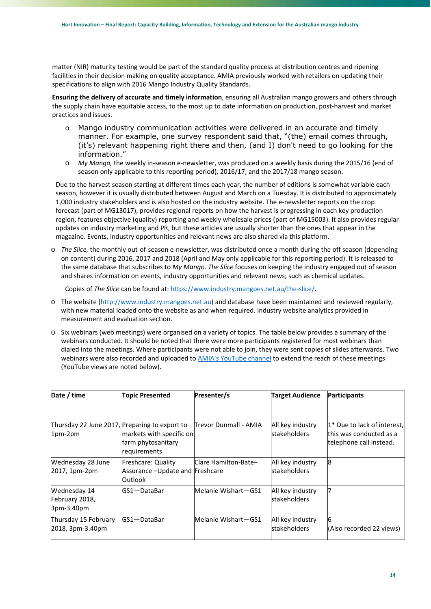matter (NIR) maturity testing would be part of the standard quality process at distribution centres and ripening facilities in their decision making on quality acceptance. AMIA previously worked with retailers on updating their specifications to align with 2016 Mango Industry Quality Standards.

**Ensuring the delivery of accurate and timely information**, ensuring all Australian mango growers and others through the supply chain have equitable access, to the most up to date information on production, post-harvest and market practices and issues.

- o Mango industry communication activities were delivered in an accurate and timely manner. For example, one survey respondent said that, "(the) email comes through, (it's) relevant happening right there and then, (and I) don't need to go looking for the information."
- o *My Mango,* the weekly in‐season e‐newsletter, was produced on a weekly basis during the 2015/16 (end of season only applicable to this reporting period), 2016/17, and the 2017/18 mango season.

Due to the harvest season starting at different times each year, the number of editions is somewhat variable each season, however it is usually distributed between August and March on a Tuesday. It is distributed to approximately 1,000 industry stakeholders and is also hosted on the industry website. The e‐newsletter reports on the crop forecast (part of MG13017), provides regional reports on how the harvest is progressing in each key production region, features objective (quality) reporting and weekly wholesale prices (part of MG15003). It also provides regular updates on industry marketing and PR, but these articles are usually shorter than the ones that appear in the magazine. Events, industry opportunities and relevant news are also shared via this platform.

o *The Slice,* the monthly out‐of‐season e‐newsletter, was distributed once a month during the off season (depending on content) during 2016, 2017 and 2018 (April and May only applicable for this reporting period). It is released to the same database that subscribes to *My Mango. The Slice* focuses on keeping the industry engaged out of season and shares information on events, industry opportunities and relevant news; such as chemical updates.

Copies of *The Slice* can be found at: https://www.industry.mangoes.net.au/the‐slice/.

- o The website (http://www.industry.mangoes.net.au) and database have been maintained and reviewed regularly, with new material loaded onto the website as and when required. Industry website analytics provided in measurement and evaluation section.
- o Six webinars (web meetings) were organised on a variety of topics. The table below provides a summary of the webinars conducted. It should be noted that there were more participants registered for most webinars than dialed into the meetings. Where participants were not able to join, they were sent copies of slides afterwards. Two webinars were also recorded and uploaded to AMIA's YouTube channel to extend the reach of these meetings (YouTube views are noted below).

| Date / time                                                | <b>Topic Presented</b>                                            | Presenter/s           | <b>Target Audience</b>                  | <b>Participants</b>                                                               |
|------------------------------------------------------------|-------------------------------------------------------------------|-----------------------|-----------------------------------------|-----------------------------------------------------------------------------------|
|                                                            |                                                                   |                       |                                         |                                                                                   |
| Thursday 22 June 2017, Preparing to export to<br>$1pm-2pm$ | markets with specific on<br>farm phytosanitary<br>requirements    | Trevor Dunmall - AMIA | All key industry<br>stakeholders        | 1* Due to lack of interest,<br>this was conducted as a<br>telephone call instead. |
| Wednesday 28 June<br>2017, 1pm-2pm                         | Freshcare: Quality<br>Assurance - Update and Freshcare<br>Outlook | Clare Hamilton-Bate-  | All key industry<br><b>stakeholders</b> | 18                                                                                |
| Wednesday 14<br>February 2018,<br>3pm-3.40pm               | lGS1-DataBar                                                      | Melanie Wishart-GS1   | All key industry<br>stakeholders        |                                                                                   |
| Thursday 15 February<br>2018, 3pm-3.40pm                   | GS1-DataBar                                                       | Melanie Wishart-GS1   | All key industry<br><b>stakeholders</b> | 6<br>(Also recorded 22 views)                                                     |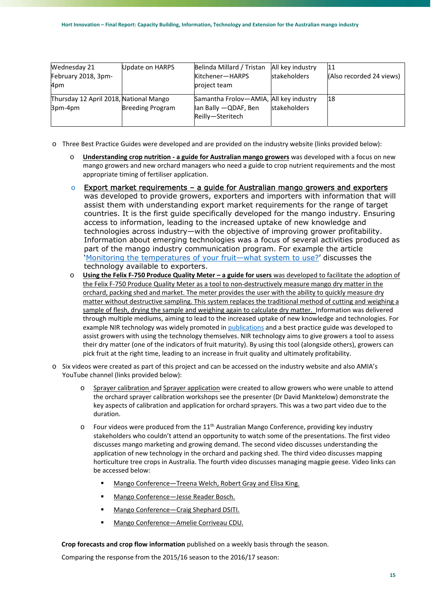| Wednesday 21<br>February 2018, 3pm-<br>4pm        | Update on HARPS         | Belinda Millard / Tristan<br>Kitchener-HARPS<br>project team                        | All key industry<br><b>stakeholders</b> | 11<br>(Also recorded 24 views) |
|---------------------------------------------------|-------------------------|-------------------------------------------------------------------------------------|-----------------------------------------|--------------------------------|
| Thursday 12 April 2018, National Mango<br>3pm-4pm | <b>Breeding Program</b> | Samantha Frolov-AMIA, All key industry<br>lan Bally - QDAF, Ben<br>Reilly-Steritech | <b>stakeholders</b>                     | 18                             |

o Three Best Practice Guides were developed and are provided on the industry website (links provided below):

- o **Understanding crop nutrition ‐ a guide for Australian mango growers** was developed with a focus on new mango growers and new orchard managers who need a guide to crop nutrient requirements and the most appropriate timing of fertiliser application.
- $\circ$  Export market requirements a quide for Australian mango growers and exporters was developed to provide growers, exporters and importers with information that will assist them with understanding export market requirements for the range of target countries. It is the first guide specifically developed for the mango industry. Ensuring access to information, leading to the increased uptake of new knowledge and technologies across industry—with the objective of improving grower profitability. Information about emerging technologies was a focus of several activities produced as part of the mango industry communication program. For example the article 'Monitoring the temperatures of your fruit—what system to use?' discusses the technology available to exporters.
- o **Using the Felix F‐750 Produce Quality Meter a guide for users** was developed to facilitate the adoption of the Felix F-750 Produce Quality Meter as a tool to non-destructively measure mango dry matter in the orchard, packing shed and market. The meter provides the user with the ability to quickly measure dry matter without destructive sampling. This system replaces the traditional method of cutting and weighing a sample of flesh, drying the sample and weighing again to calculate dry matter. Information was delivered through multiple mediums, aiming to lead to the increased uptake of new knowledge and technologies. For example NIR technology was widely promoted in publications and a best practice guide was developed to assist growers with using the technology themselves. NIR technology aims to give growers a tool to assess their dry matter (one of the indicators of fruit maturity). By using this tool (alongside others), growers can pick fruit at the right time, leading to an increase in fruit quality and ultimately profitability.
- o Six videos were created as part of this project and can be accessed on the industry website and also AMIA's YouTube channel (links provided below):
	- o Sprayer calibration and Sprayer application were created to allow growers who were unable to attend the orchard sprayer calibration workshops see the presenter (Dr David Manktelow) demonstrate the key aspects of calibration and application for orchard sprayers. This was a two part video due to the duration.
	- $\circ$  Four videos were produced from the 11<sup>th</sup> Australian Mango Conference, providing key industry stakeholders who couldn't attend an opportunity to watch some of the presentations. The first video discusses mango marketing and growing demand. The second video discusses understanding the application of new technology in the orchard and packing shed. The third video discusses mapping horticulture tree crops in Australia. The fourth video discusses managing magpie geese. Video links can be accessed below:
		- Mango Conference—Treena Welch, Robert Gray and Elisa King.
		- Mango Conference—Jesse Reader Bosch.
		- Mango Conference—Craig Shephard DSITI.
		- Mango Conference—Amelie Corriveau CDU.

**Crop forecasts and crop flow information** published on a weekly basis through the season.

Comparing the response from the 2015/16 season to the 2016/17 season: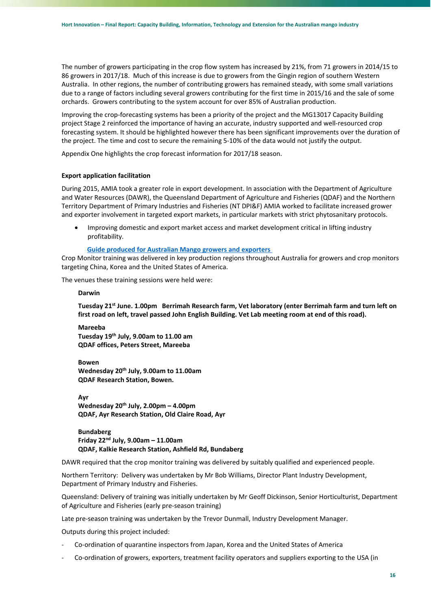The number of growers participating in the crop flow system has increased by 21%, from 71 growers in 2014/15 to 86 growers in 2017/18. Much of this increase is due to growers from the Gingin region of southern Western Australia. In other regions, the number of contributing growers has remained steady, with some small variations due to a range of factors including several growers contributing for the first time in 2015/16 and the sale of some orchards. Growers contributing to the system account for over 85% of Australian production.

Improving the crop‐forecasting systems has been a priority of the project and the MG13017 Capacity Building project Stage 2 reinforced the importance of having an accurate, industry supported and well‐resourced crop forecasting system. It should be highlighted however there has been significant improvements over the duration of the project. The time and cost to secure the remaining 5‐10% of the data would not justify the output.

Appendix One highlights the crop forecast information for 2017/18 season.

#### **Export application facilitation**

During 2015, AMIA took a greater role in export development. In association with the Department of Agriculture and Water Resources (DAWR), the Queensland Department of Agriculture and Fisheries (QDAF) and the Northern Territory Department of Primary Industries and Fisheries (NT DPI&F) AMIA worked to facilitate increased grower and exporter involvement in targeted export markets, in particular markets with strict phytosanitary protocols.

 Improving domestic and export market access and market development critical in lifting industry profitability.

#### **Guide produced for Australian Mango growers and exporters**

Crop Monitor training was delivered in key production regions throughout Australia for growers and crop monitors targeting China, Korea and the United States of America.

The venues these training sessions were held were:

#### **Darwin**

**Tuesday 21st June. 1.00pm Berrimah Research farm, Vet laboratory (enter Berrimah farm and turn left on first road on left, travel passed John English Building. Vet Lab meeting room at end of this road).** 

**Mareeba Tuesday 19th July, 9.00am to 11.00 am QDAF offices, Peters Street, Mareeba** 

**Bowen Wednesday 20th July, 9.00am to 11.00am QDAF Research Station, Bowen.** 

**Ayr Wednesday 20th July, 2.00pm – 4.00pm QDAF, Ayr Research Station, Old Claire Road, Ayr** 

**Bundaberg Friday 22nd July, 9.00am – 11.00am QDAF, Kalkie Research Station, Ashfield Rd, Bundaberg** 

DAWR required that the crop monitor training was delivered by suitably qualified and experienced people.

Northern Territory: Delivery was undertaken by Mr Bob Williams, Director Plant Industry Development, Department of Primary Industry and Fisheries.

Queensland: Delivery of training was initially undertaken by Mr Geoff Dickinson, Senior Horticulturist, Department of Agriculture and Fisheries (early pre‐season training)

Late pre‐season training was undertaken by the Trevor Dunmall, Industry Development Manager.

Outputs during this project included:

- ‐ Co‐ordination of quarantine inspectors from Japan, Korea and the United States of America
- Co-ordination of growers, exporters, treatment facility operators and suppliers exporting to the USA (in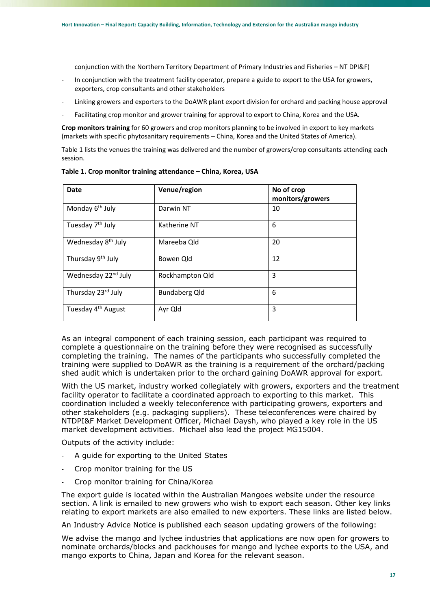conjunction with the Northern Territory Department of Primary Industries and Fisheries – NT DPI&F)

- In conjunction with the treatment facility operator, prepare a guide to export to the USA for growers, exporters, crop consultants and other stakeholders
- ‐ Linking growers and exporters to the DoAWR plant export division for orchard and packing house approval
- Facilitating crop monitor and grower training for approval to export to China, Korea and the USA.

**Crop monitors training** for 60 growers and crop monitors planning to be involved in export to key markets (markets with specific phytosanitary requirements – China, Korea and the United States of America).

Table 1 lists the venues the training was delivered and the number of growers/crop consultants attending each session.

| Date                            | Venue/region         | No of crop<br>monitors/growers |
|---------------------------------|----------------------|--------------------------------|
| Monday 6 <sup>th</sup> July     | Darwin NT            | 10                             |
| Tuesday 7 <sup>th</sup> July    | Katherine NT         | 6                              |
| Wednesday 8 <sup>th</sup> July  | Mareeba Qld          | 20                             |
| Thursday 9 <sup>th</sup> July   | Bowen Qld            | 12                             |
| Wednesday 22 <sup>nd</sup> July | Rockhampton Qld      | 3                              |
| Thursday 23rd July              | <b>Bundaberg Qld</b> | 6                              |
| Tuesday 4 <sup>th</sup> August  | Ayr Qld              | 3                              |

**Table 1. Crop monitor training attendance – China, Korea, USA** 

As an integral component of each training session, each participant was required to complete a questionnaire on the training before they were recognised as successfully completing the training. The names of the participants who successfully completed the training were supplied to DoAWR as the training is a requirement of the orchard/packing shed audit which is undertaken prior to the orchard gaining DoAWR approval for export.

With the US market, industry worked collegiately with growers, exporters and the treatment facility operator to facilitate a coordinated approach to exporting to this market. This coordination included a weekly teleconference with participating growers, exporters and other stakeholders (e.g. packaging suppliers). These teleconferences were chaired by NTDPI&F Market Development Officer, Michael Daysh, who played a key role in the US market development activities. Michael also lead the project MG15004.

Outputs of the activity include:

- ‐ A guide for exporting to the United States
- ‐ Crop monitor training for the US
- ‐ Crop monitor training for China/Korea

The export guide is located within the Australian Mangoes website under the resource section. A link is emailed to new growers who wish to export each season. Other key links relating to export markets are also emailed to new exporters. These links are listed below.

An Industry Advice Notice is published each season updating growers of the following:

We advise the mango and lychee industries that applications are now open for growers to nominate orchards/blocks and packhouses for mango and lychee exports to the USA, and mango exports to China, Japan and Korea for the relevant season.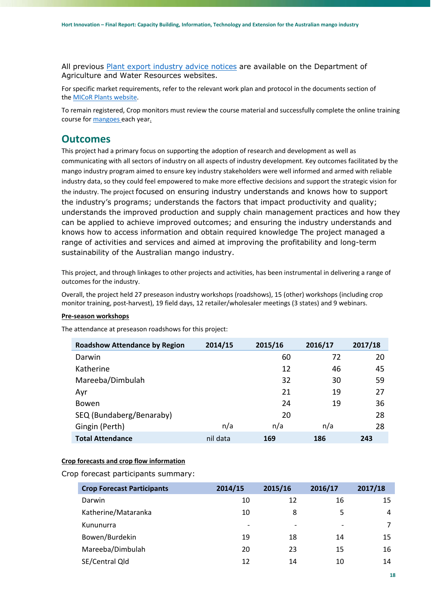All previous Plant export industry advice notices are available on the Department of Agriculture and Water Resources websites.

For specific market requirements, refer to the relevant work plan and protocol in the documents section of the MICoR Plants website.

To remain registered, Crop monitors must review the course material and successfully complete the online training course for mangoes each year.

## **Outcomes**

This project had a primary focus on supporting the adoption of research and development as well as communicating with all sectors of industry on all aspects of industry development. Key outcomes facilitated by the mango industry program aimed to ensure key industry stakeholders were well informed and armed with reliable industry data, so they could feel empowered to make more effective decisions and support the strategic vision for the industry. The project focused on ensuring industry understands and knows how to support the industry's programs; understands the factors that impact productivity and quality; understands the improved production and supply chain management practices and how they can be applied to achieve improved outcomes; and ensuring the industry understands and knows how to access information and obtain required knowledge The project managed a range of activities and services and aimed at improving the profitability and long-term sustainability of the Australian mango industry.

This project, and through linkages to other projects and activities, has been instrumental in delivering a range of outcomes for the industry.

Overall, the project held 27 preseason industry workshops (roadshows), 15 (other) workshops (including crop monitor training, post-harvest), 19 field days, 12 retailer/wholesaler meetings (3 states) and 9 webinars.

## **Pre‐season workshops**

The attendance at preseason roadshows for this project:

| <b>Roadshow Attendance by Region</b> | 2014/15  | 2015/16 | 2016/17 | 2017/18 |
|--------------------------------------|----------|---------|---------|---------|
| Darwin                               |          | 60      | 72      | 20      |
| Katherine                            |          | 12      | 46      | 45      |
| Mareeba/Dimbulah                     |          | 32      | 30      | 59      |
| Ayr                                  |          | 21      | 19      | 27      |
| <b>Bowen</b>                         |          | 24      | 19      | 36      |
| SEQ (Bundaberg/Benaraby)             |          | 20      |         | 28      |
| Gingin (Perth)                       | n/a      | n/a     | n/a     | 28      |
| <b>Total Attendance</b>              | nil data | 169     | 186     | 243     |

## **Crop forecasts and crop flow information**

Crop forecast participants summary:

| <b>Crop Forecast Participants</b> | 2014/15                  | 2015/16                  | 2016/17                  | 2017/18 |
|-----------------------------------|--------------------------|--------------------------|--------------------------|---------|
| Darwin                            | 10                       | 12                       | 16                       | 15      |
| Katherine/Mataranka               | 10                       | 8                        | 5                        | 4       |
| Kununurra                         | $\overline{\phantom{a}}$ | $\overline{\phantom{a}}$ | $\overline{\phantom{a}}$ | 7       |
| Bowen/Burdekin                    | 19                       | 18                       | 14                       | 15      |
| Mareeba/Dimbulah                  | 20                       | 23                       | 15                       | 16      |
| SE/Central Qld                    | 12                       | 14                       | 10                       | 14      |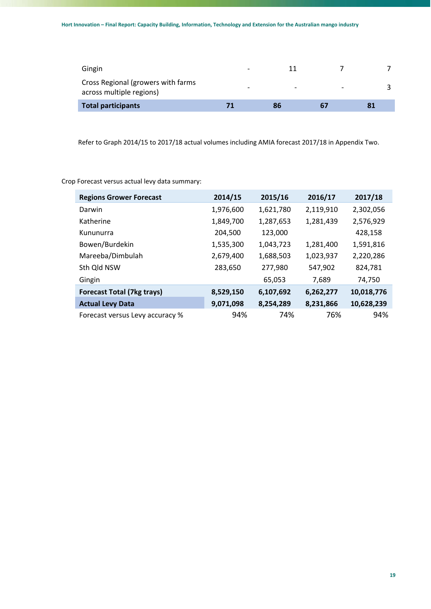| Total participants                                             | 71                       | Xb                       | 67 | 81 |
|----------------------------------------------------------------|--------------------------|--------------------------|----|----|
| Cross Regional (growers with farms<br>across multiple regions) | $\overline{\phantom{0}}$ | $\overline{\phantom{0}}$ |    |    |
| Gingin                                                         | -                        | 11                       |    |    |

Refer to Graph 2014/15 to 2017/18 actual volumes including AMIA forecast 2017/18 in Appendix Two.

Crop Forecast versus actual levy data summary:

| <b>Regions Grower Forecast</b>    | 2014/15   | 2015/16   | 2016/17   | 2017/18    |
|-----------------------------------|-----------|-----------|-----------|------------|
| Darwin                            | 1,976,600 | 1,621,780 | 2,119,910 | 2,302,056  |
| Katherine                         | 1,849,700 | 1,287,653 | 1,281,439 | 2,576,929  |
| Kununurra                         | 204,500   | 123,000   |           | 428,158    |
| Bowen/Burdekin                    | 1,535,300 | 1,043,723 | 1,281,400 | 1,591,816  |
| Mareeba/Dimbulah                  | 2,679,400 | 1,688,503 | 1,023,937 | 2,220,286  |
| Sth Qld NSW                       | 283,650   | 277,980   | 547,902   | 824,781    |
| Gingin                            |           | 65,053    | 7,689     | 74,750     |
| <b>Forecast Total (7kg trays)</b> | 8,529,150 | 6,107,692 | 6,262,277 | 10,018,776 |
| <b>Actual Levy Data</b>           | 9,071,098 | 8,254,289 | 8,231,866 | 10,628,239 |
| Forecast versus Levy accuracy %   | 94%       | 74%       | 76%       | 94%        |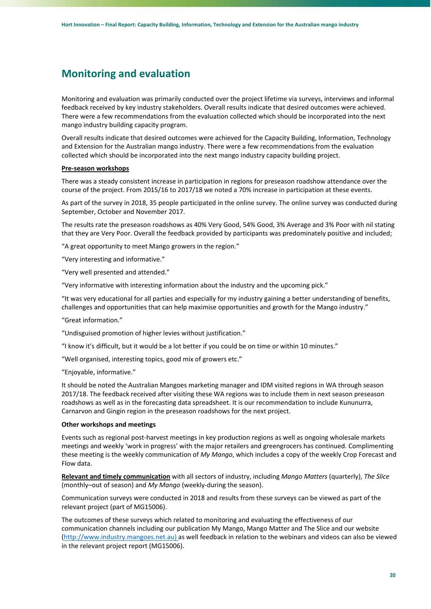## **Monitoring and evaluation**

Monitoring and evaluation was primarily conducted over the project lifetime via surveys, interviews and informal feedback received by key industry stakeholders. Overall results indicate that desired outcomes were achieved. There were a few recommendations from the evaluation collected which should be incorporated into the next mango industry building capacity program.

Overall results indicate that desired outcomes were achieved for the Capacity Building, Information, Technology and Extension for the Australian mango industry. There were a few recommendations from the evaluation collected which should be incorporated into the next mango industry capacity building project.

#### **Pre‐season workshops**

There was a steady consistent increase in participation in regions for preseason roadshow attendance over the course of the project. From 2015/16 to 2017/18 we noted a 70% increase in participation at these events.

As part of the survey in 2018, 35 people participated in the online survey. The online survey was conducted during September, October and November 2017.

The results rate the preseason roadshows as 40% Very Good, 54% Good, 3% Average and 3% Poor with nil stating that they are Very Poor. Overall the feedback provided by participants was predominately positive and included;

"A great opportunity to meet Mango growers in the region."

"Very interesting and informative."

"Very well presented and attended."

"Very informative with interesting information about the industry and the upcoming pick."

"It was very educational for all parties and especially for my industry gaining a better understanding of benefits, challenges and opportunities that can help maximise opportunities and growth for the Mango industry."

"Great information."

"Undisguised promotion of higher levies without justification."

"I know it's difficult, but it would be a lot better if you could be on time or within 10 minutes."

"Well organised, interesting topics, good mix of growers etc."

"Enjoyable, informative."

It should be noted the Australian Mangoes marketing manager and IDM visited regions in WA through season 2017/18. The feedback received after visiting these WA regions was to include them in next season preseason roadshows as well as in the forecasting data spreadsheet. It is our recommendation to include Kununurra, Carnarvon and Gingin region in the preseason roadshows for the next project.

#### **Other workshops and meetings**

Events such as regional post‐harvest meetings in key production regions as well as ongoing wholesale markets meetings and weekly 'work in progress' with the major retailers and greengrocers has continued. Complimenting these meeting is the weekly communication of *My Mango*, which includes a copy of the weekly Crop Forecast and Flow data.

**Relevant and timely communication** with all sectors of industry, including *Mango Matters* (quarterly), *The Slice* (monthly–out of season) and *My Mango* (weekly‐during the season).

Communication surveys were conducted in 2018 and results from these surveys can be viewed as part of the relevant project (part of MG15006).

The outcomes of these surveys which related to monitoring and evaluating the effectiveness of our communication channels including our publication My Mango, Mango Matter and The Slice and our website (http://www.industry.mangoes.net.au) as well feedback in relation to the webinars and videos can also be viewed in the relevant project report (MG15006).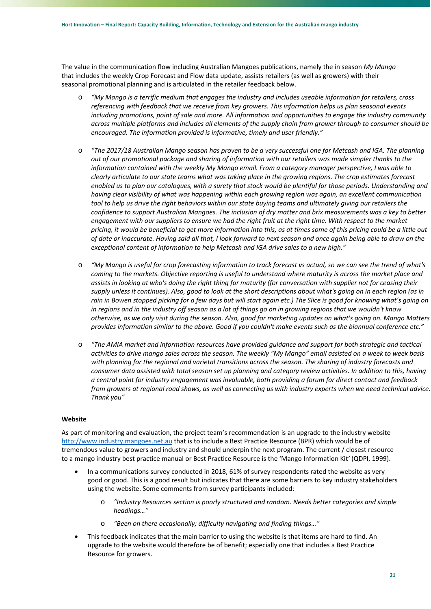The value in the communication flow including Australian Mangoes publications, namely the in season *My Mango* that includes the weekly Crop Forecast and Flow data update, assists retailers (as well as growers) with their seasonal promotional planning and is articulated in the retailer feedback below.

- o *"My Mango is a terrific medium that engages the industry and includes useable information for retailers, cross referencing with feedback that we receive from key growers. This information helps us plan seasonal events including promotions, point of sale and more. All information and opportunities to engage the industry community across multiple platforms and includes all elements of the supply chain from grower through to consumer should be encouraged. The information provided is informative, timely and user friendly."*
- o *"The 2017/18 Australian Mango season has proven to be a very successful one for Metcash and IGA. The planning out of our promotional package and sharing of information with our retailers was made simpler thanks to the information contained with the weekly My Mango email. From a category manager perspective, I was able to clearly articulate to our state teams what was taking place in the growing regions. The crop estimates forecast enabled us to plan our catalogues, with a surety that stock would be plentiful for those periods. Understanding and having clear visibility of what was happening within each growing region was again, an excellent communication*  tool to help us drive the right behaviors within our state buying teams and ultimately giving our retailers the *confidence to support Australian Mangoes. The inclusion of dry matter and brix measurements was a key to better engagement with our suppliers to ensure we had the right fruit at the right time. With respect to the market pricing, it would be beneficial to get more information into this, as at times some of this pricing could be a little out of date or inaccurate. Having said all that, I look forward to next season and once again being able to draw on the exceptional content of information to help Metcash and IGA drive sales to a new high."*
- o *"My Mango is useful for crop forecasting information to track forecast vs actual, so we can see the trend of what's coming to the markets. Objective reporting is useful to understand where maturity is across the market place and assists in looking at who's doing the right thing for maturity (for conversation with supplier not for ceasing their supply unless it continues). Also, good to look at the short descriptions about what's going on in each region (as in rain in Bowen stopped picking for a few days but will start again etc.) The Slice is good for knowing what's going on in regions and in the industry off season as a lot of things go on in growing regions that we wouldn't know otherwise, as we only visit during the season. Also, good for marketing updates on what's going on. Mango Matters provides information similar to the above. Good if you couldn't make events such as the biannual conference etc."*
- o *"The AMIA market and information resources have provided guidance and support for both strategic and tactical activities to drive mango sales across the season. The weekly "My Mango" email assisted on a week to week basis with planning for the regional and varietal transitions across the season. The sharing of industry forecasts and consumer data assisted with total season set up planning and category review activities. In addition to this, having a central point for industry engagement was invaluable, both providing a forum for direct contact and feedback from growers at regional road shows, as well as connecting us with industry experts when we need technical advice. Thank you"*

### **Website**

As part of monitoring and evaluation, the project team's recommendation is an upgrade to the industry website http://www.industry.mangoes.net.au that is to include a Best Practice Resource (BPR) which would be of tremendous value to growers and industry and should underpin the next program. The current / closest resource to a mango industry best practice manual or Best Practice Resource is the 'Mango Information Kit*'* (QDPI, 1999).

- In a communications survey conducted in 2018, 61% of survey respondents rated the website as very good or good. This is a good result but indicates that there are some barriers to key industry stakeholders using the website. Some comments from survey participants included:
	- o *"Industry Resources section is poorly structured and random. Needs better categories and simple headings…"*
	- o *"Been on there occasionally; difficulty navigating and finding things…"*
- This feedback indicates that the main barrier to using the website is that items are hard to find. An upgrade to the website would therefore be of benefit; especially one that includes a Best Practice Resource for growers.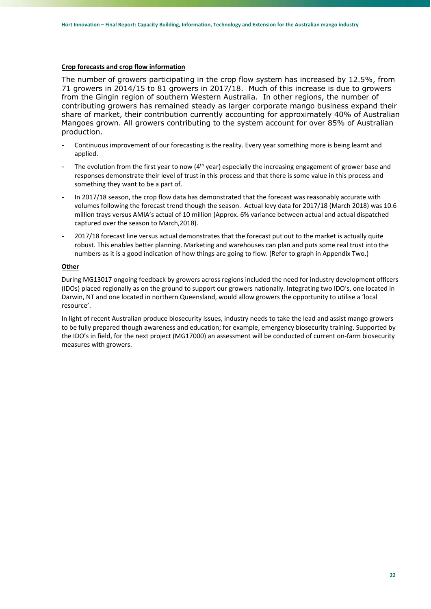### **Crop forecasts and crop flow information**

The number of growers participating in the crop flow system has increased by 12.5%, from 71 growers in 2014/15 to 81 growers in 2017/18. Much of this increase is due to growers from the Gingin region of southern Western Australia. In other regions, the number of contributing growers has remained steady as larger corporate mango business expand their share of market, their contribution currently accounting for approximately 40% of Australian Mangoes grown. All growers contributing to the system account for over 85% of Australian production.

- Continuous improvement of our forecasting is the reality. Every year something more is being learnt and applied.
- The evolution from the first year to now (4<sup>th</sup> year) especially the increasing engagement of grower base and responses demonstrate their level of trust in this process and that there is some value in this process and something they want to be a part of.
- In 2017/18 season, the crop flow data has demonstrated that the forecast was reasonably accurate with volumes following the forecast trend though the season. Actual levy data for 2017/18 (March 2018) was 10.6 million trays versus AMIA's actual of 10 million (Approx. 6% variance between actual and actual dispatched captured over the season to March,2018).
- 2017/18 forecast line versus actual demonstrates that the forecast put out to the market is actually quite robust. This enables better planning. Marketing and warehouses can plan and puts some real trust into the numbers as it is a good indication of how things are going to flow. (Refer to graph in Appendix Two.)

## **Other**

During MG13017 ongoing feedback by growers across regions included the need for industry development officers (IDOs) placed regionally as on the ground to support our growers nationally. Integrating two IDO's, one located in Darwin, NT and one located in northern Queensland, would allow growers the opportunity to utilise a 'local resource'.

In light of recent Australian produce biosecurity issues, industry needs to take the lead and assist mango growers to be fully prepared though awareness and education; for example, emergency biosecurity training. Supported by the IDO's in field, for the next project (MG17000) an assessment will be conducted of current on‐farm biosecurity measures with growers.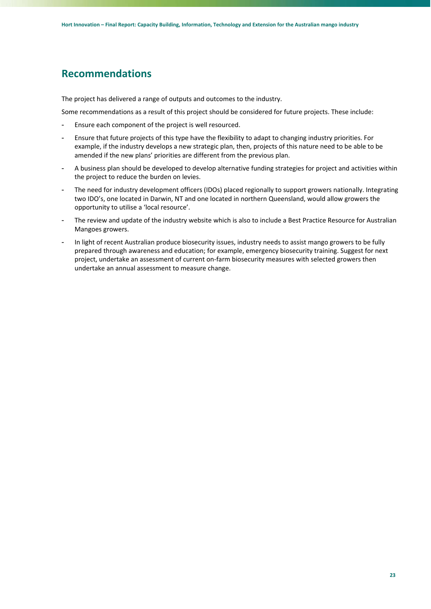## **Recommendations**

The project has delivered a range of outputs and outcomes to the industry.

Some recommendations as a result of this project should be considered for future projects. These include:

- Ensure each component of the project is well resourced.
- Ensure that future projects of this type have the flexibility to adapt to changing industry priorities. For example, if the industry develops a new strategic plan, then, projects of this nature need to be able to be amended if the new plans' priorities are different from the previous plan.
- A business plan should be developed to develop alternative funding strategies for project and activities within the project to reduce the burden on levies.
- The need for industry development officers (IDOs) placed regionally to support growers nationally. Integrating two IDO's, one located in Darwin, NT and one located in northern Queensland, would allow growers the opportunity to utilise a 'local resource'.
- The review and update of the industry website which is also to include a Best Practice Resource for Australian Mangoes growers.
- In light of recent Australian produce biosecurity issues, industry needs to assist mango growers to be fully prepared through awareness and education; for example, emergency biosecurity training. Suggest for next project, undertake an assessment of current on‐farm biosecurity measures with selected growers then undertake an annual assessment to measure change.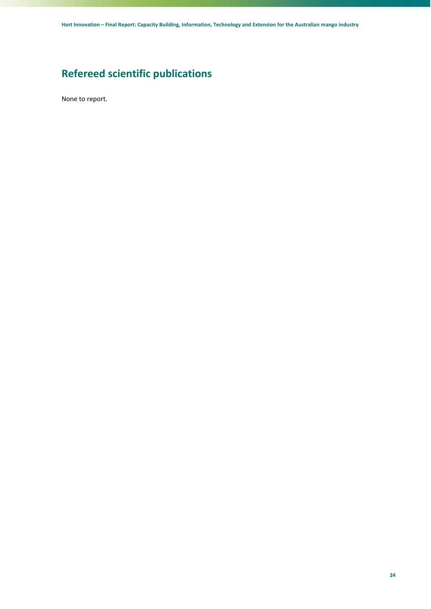## **Refereed scientific publications**

None to report.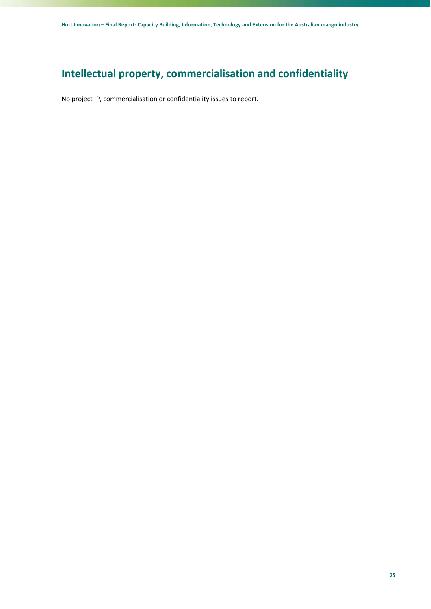## **Intellectual property, commercialisation and confidentiality**

No project IP, commercialisation or confidentiality issues to report.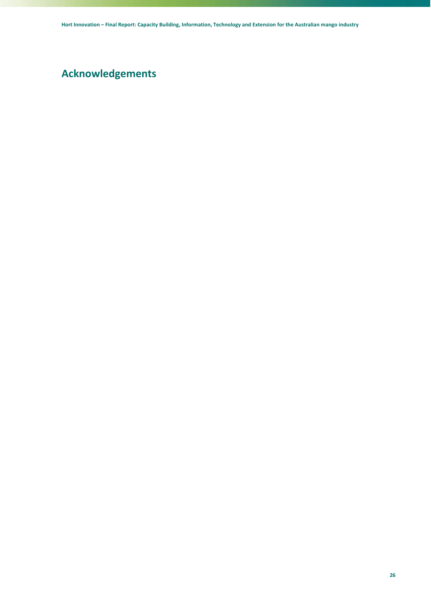## **Acknowledgements**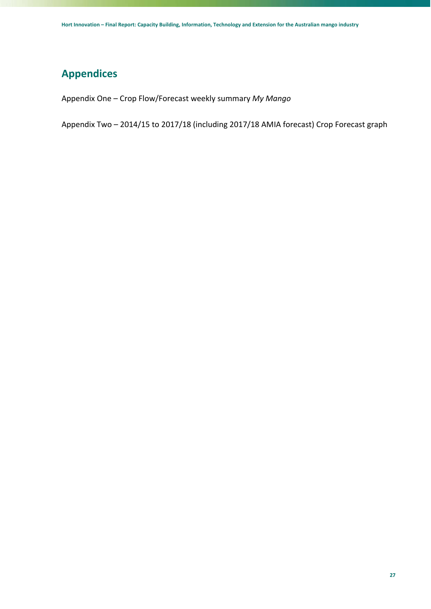## **Appendices**

Appendix One – Crop Flow/Forecast weekly summary *My Mango*

Appendix Two – 2014/15 to 2017/18 (including 2017/18 AMIA forecast) Crop Forecast graph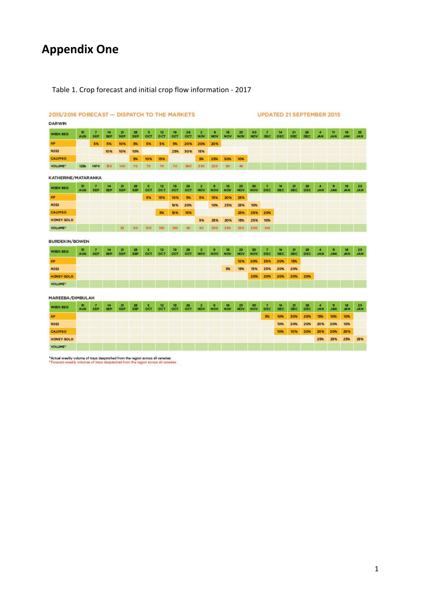# **Appendix One**

## Table 1. Crop forecast and initial crop flow information ‐ 2017

| 2015/2016 FORECAST - DISPATCH TO THE MARKETS |                               |                              |                  |                            |                  |                    |                       |                       |                         | <b>UPDATED 21 SEPTEMBER 2015</b>      |                 |                  |                  |                         |                          |            |                              |                    |                              |                            |                  |                  |
|----------------------------------------------|-------------------------------|------------------------------|------------------|----------------------------|------------------|--------------------|-----------------------|-----------------------|-------------------------|---------------------------------------|-----------------|------------------|------------------|-------------------------|--------------------------|------------|------------------------------|--------------------|------------------------------|----------------------------|------------------|------------------|
| <b>DARWIN</b>                                |                               |                              |                  |                            |                  |                    |                       |                       |                         |                                       |                 |                  |                  |                         |                          |            |                              |                    |                              |                            |                  |                  |
| <b>WEEK BEG</b>                              | 31<br><b>AUG</b>              | $\overline{ }$<br><b>SEP</b> | 14<br><b>SEP</b> | 21<br><b>SEP</b>           | 28<br><b>SEP</b> | s<br>OCT           | 12<br>OCT             | 19<br>OCT             | 26<br>OCT               | $\overline{a}$<br><b>NOV</b>          | ø<br><b>NOV</b> | 16<br><b>NOV</b> | 23<br><b>NOV</b> | 30<br><b>NOV</b>        | $\overline{z}$<br>DEC.   | 14<br>DEC  | 21<br><b>DEC</b>             | 28<br>DEC          | $\overline{4}$<br><b>JAN</b> | n<br><b>JAN</b>            | 18<br><b>JAN</b> | 25<br><b>JAN</b> |
| KP                                           |                               | 5%                           | 5%               | 10%                        | 5%               | 5%                 | 5%                    | 5%                    | 20%                     | 20%                                   | 20%             |                  |                  |                         |                          |            |                              |                    |                              |                            |                  |                  |
| <b>R2E2</b>                                  |                               |                              | 10%              | 10%                        | 10%              |                    |                       | 25%                   | 30%                     | 15%                                   |                 |                  |                  |                         |                          |            |                              |                    |                              |                            |                  |                  |
| <b>CALYPSO</b>                               |                               |                              |                  |                            | 5%               | 10%                | 15%                   |                       |                         | 5%                                    | 25%             | 30%              | 10%              |                         |                          |            |                              |                    |                              |                            |                  |                  |
| <b>VOLUME*</b>                               | <b>125k</b>                   | 147K                         | 160              | 140                        | 70               | 70                 | 70                    | 70                    | 380                     | 330                                   | 220             | 90               | 48               |                         |                          |            |                              |                    |                              |                            |                  |                  |
| KATHERINE/MATARANKA                          |                               |                              |                  |                            |                  |                    |                       |                       |                         |                                       |                 |                  |                  |                         |                          |            |                              |                    |                              |                            |                  |                  |
| <b>WEEK BEG</b>                              | 51<br><b>AUG</b>              | $\overline{ }$<br><b>SEP</b> | 14<br><b>SEP</b> | $\mathbf{z}$<br><b>SEP</b> | 28<br><b>SEP</b> | 5<br>OCT           | 12<br>OCT             | 19<br>OCT             | 26<br>OCT               | $\overline{\mathbf{z}}$<br><b>NOV</b> | 9<br><b>NOV</b> | 16<br><b>NOV</b> | 23<br><b>NOV</b> | 30<br><b>NOV</b>        | $\overline{z}$<br>DEC    | 14<br>DEC  | $\overline{z}$<br><b>DEC</b> | 28<br>DEC          | ×<br><b>JAN</b>              | $\mathbf{u}$<br><b>JAN</b> | 18<br><b>JAN</b> | 25<br><b>JAN</b> |
| KP                                           |                               |                              |                  |                            |                  | 5%                 | 15%                   | 10%                   | 5%                      | 5%                                    | 15%             | 20%              | 25%              |                         |                          |            |                              |                    |                              |                            |                  |                  |
| R2E2                                         |                               |                              |                  |                            |                  |                    |                       | 10%                   | 20%                     |                                       | 10%             | 25%              | 25%              | 10%                     |                          |            |                              |                    |                              |                            |                  |                  |
| <b>CALYPSO</b>                               |                               |                              |                  |                            |                  |                    | 5%                    | 10%                   | 15%                     |                                       |                 |                  | 25%              | 25%                     | 20%                      |            |                              |                    |                              |                            |                  |                  |
| <b>HONEY GOLD</b>                            |                               |                              |                  |                            |                  |                    |                       |                       |                         | 5%                                    | 25%             | 20%              | 15%              | 25%                     | 10%                      |            |                              |                    |                              |                            |                  |                  |
| <b>VOLUME*</b>                               |                               |                              |                  | 25                         | 50               | 150                | 150                   | 150                   | 40                      | 40                                    | 250             | 250              | 250              | 200                     | 145                      |            |                              |                    |                              |                            |                  |                  |
|                                              |                               |                              |                  |                            |                  |                    |                       |                       |                         |                                       |                 |                  |                  |                         |                          |            |                              |                    |                              |                            |                  |                  |
| <b>BURDEKIN/BOWEN</b>                        |                               |                              |                  |                            |                  |                    |                       |                       |                         |                                       |                 |                  |                  |                         |                          |            |                              |                    |                              |                            |                  |                  |
| <b>WEEK BEG</b>                              | $\overline{31}$<br><b>AUG</b> | $\overline{ }$<br><b>SEP</b> | 14<br><b>SEP</b> | $\mathbf{z}$<br><b>SEP</b> | 28<br><b>SEP</b> | 5<br>OCT           | 12<br>OCT             | 19<br>OCT             | 26<br>OCT               | $\overline{\mathbf{z}}$<br><b>NOV</b> | 9<br><b>NOV</b> | 16<br><b>NOV</b> | 25<br><b>NOV</b> | 30<br><b>NOV</b>        | $\overline{ }$<br>DEC    | 14<br>DEC  | $\mathbf{z}$<br><b>DEC</b>   | 28<br>DEC          | 4<br><b>JAN</b>              | $\mathbf{u}$<br><b>JAN</b> | 18<br><b>JAN</b> | $\frac{25}{JAN}$ |
| KP                                           |                               |                              |                  |                            |                  |                    |                       |                       |                         |                                       |                 |                  | 10%              | 20%                     | 35%                      | 20%        | 15%                          |                    |                              |                            |                  |                  |
| R2E2                                         |                               |                              |                  |                            |                  |                    |                       |                       |                         |                                       |                 | 5%               | 15%              | 15%                     | 25%                      | 20%        | 20%                          |                    |                              |                            |                  |                  |
| <b>HONEY GOLD</b>                            |                               |                              |                  |                            |                  |                    |                       |                       |                         |                                       |                 |                  |                  | 20%                     | 20%                      | 20%        | 20%                          | 20%                |                              |                            |                  |                  |
| <b>VOLUME*</b>                               |                               |                              |                  |                            |                  |                    |                       |                       |                         |                                       |                 |                  |                  |                         |                          |            |                              |                    |                              |                            |                  |                  |
| <b>MAREEBA/DIMBULAH</b>                      |                               |                              |                  |                            |                  |                    |                       |                       |                         |                                       |                 |                  |                  |                         |                          |            |                              |                    |                              |                            |                  |                  |
|                                              |                               | 7                            | 14               |                            |                  |                    |                       |                       |                         |                                       | э               |                  |                  |                         | $\overline{\phantom{a}}$ | 14         | 21                           |                    |                              | $\mathbf{u}$               | 18               |                  |
| <b>WEEK BEG</b>                              | $\frac{31}{406}$              | <b>SEP</b>                   | <b>SEP</b>       | $rac{21}{5EP}$             | $rac{28}{512}$   | $rac{5}{\alpha C}$ | $rac{12}{\text{OCT}}$ | $rac{19}{\text{OCT}}$ | $\frac{26}{\text{OCT}}$ | $\frac{2}{N\text{OV}}$                | <b>NOV</b>      | $\frac{16}{N$    | $\frac{23}{NOV}$ | $\frac{30}{N\text{OV}}$ | DEC                      | <b>DEC</b> | DEC                          | $_{\rm{DEC}}^{28}$ | $\frac{4}{3AB}$              | <b>JAN</b>                 | <b>JAN</b>       | $\frac{25}{JAN}$ |
| KP                                           |                               |                              |                  |                            |                  |                    |                       |                       |                         |                                       |                 |                  |                  |                         | 5%                       | 10%        | 30%                          | 20%                | 15%                          | 10%                        | 10%              |                  |
| <b>R2E2</b>                                  |                               |                              |                  |                            |                  |                    |                       |                       |                         |                                       |                 |                  |                  |                         |                          | 10%        | 20%                          | 20%                | 20%                          | 20%                        | 10%              |                  |
| <b>CALYPSO</b>                               |                               |                              |                  |                            |                  |                    |                       |                       |                         |                                       |                 |                  |                  |                         |                          | 10%        | 10%                          | 20%                | 20%                          | 20%                        | 20%              |                  |
| <b>HONEY GOLD</b>                            |                               |                              |                  |                            |                  |                    |                       |                       |                         |                                       |                 |                  |                  |                         |                          |            |                              |                    | 25%                          | 25%                        | 25%              | 25%              |
| <b>VOLUME*</b>                               |                               |                              |                  |                            |                  |                    |                       |                       |                         |                                       |                 |                  |                  |                         |                          |            |                              |                    |                              |                            |                  |                  |

\*Actual weekly volume of trays despetched from the region across all varieties<br>\*Forecast weekly volumes of trays despatched from the region scross all varieties